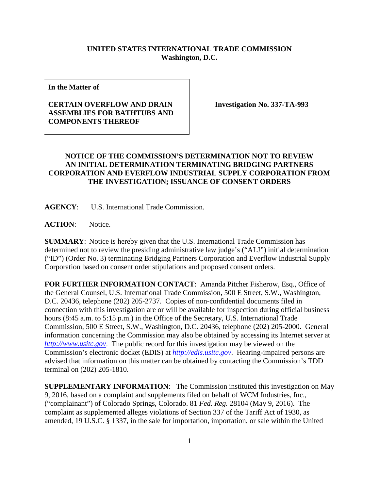## **UNITED STATES INTERNATIONAL TRADE COMMISSION Washington, D.C.**

**In the Matter of**

## **CERTAIN OVERFLOW AND DRAIN ASSEMBLIES FOR BATHTUBS AND COMPONENTS THEREOF**

**Investigation No. 337-TA-993**

## **NOTICE OF THE COMMISSION'S DETERMINATION NOT TO REVIEW AN INITIAL DETERMINATION TERMINATING BRIDGING PARTNERS CORPORATION AND EVERFLOW INDUSTRIAL SUPPLY CORPORATION FROM THE INVESTIGATION; ISSUANCE OF CONSENT ORDERS**

**AGENCY**: U.S. International Trade Commission.

ACTION: Notice.

**SUMMARY**: Notice is hereby given that the U.S. International Trade Commission has determined not to review the presiding administrative law judge's ("ALJ") initial determination ("ID") (Order No. 3) terminating Bridging Partners Corporation and Everflow Industrial Supply Corporation based on consent order stipulations and proposed consent orders.

**FOR FURTHER INFORMATION CONTACT**: Amanda Pitcher Fisherow, Esq., Office of the General Counsel, U.S. International Trade Commission, 500 E Street, S.W., Washington, D.C. 20436, telephone (202) 205-2737. Copies of non-confidential documents filed in connection with this investigation are or will be available for inspection during official business hours (8:45 a.m. to 5:15 p.m.) in the Office of the Secretary, U.S. International Trade Commission, 500 E Street, S.W., Washington, D.C. 20436, telephone (202) 205-2000. General information concerning the Commission may also be obtained by accessing its Internet server at *[http://www.usitc.gov](http://www.usitc.gov/)*. The public record for this investigation may be viewed on the Commission's electronic docket (EDIS) at *[http://edis.usitc.gov](http://edis.usitc.gov/)*. Hearing-impaired persons are advised that information on this matter can be obtained by contacting the Commission's TDD terminal on (202) 205-1810.

**SUPPLEMENTARY INFORMATION**: The Commission instituted this investigation on May 9, 2016, based on a complaint and supplements filed on behalf of WCM Industries, Inc., ("complainant") of Colorado Springs, Colorado. 81 *Fed. Reg.* 28104 (May 9, 2016). The complaint as supplemented alleges violations of Section 337 of the Tariff Act of 1930, as amended, 19 U.S.C. § 1337, in the sale for importation, importation, or sale within the United